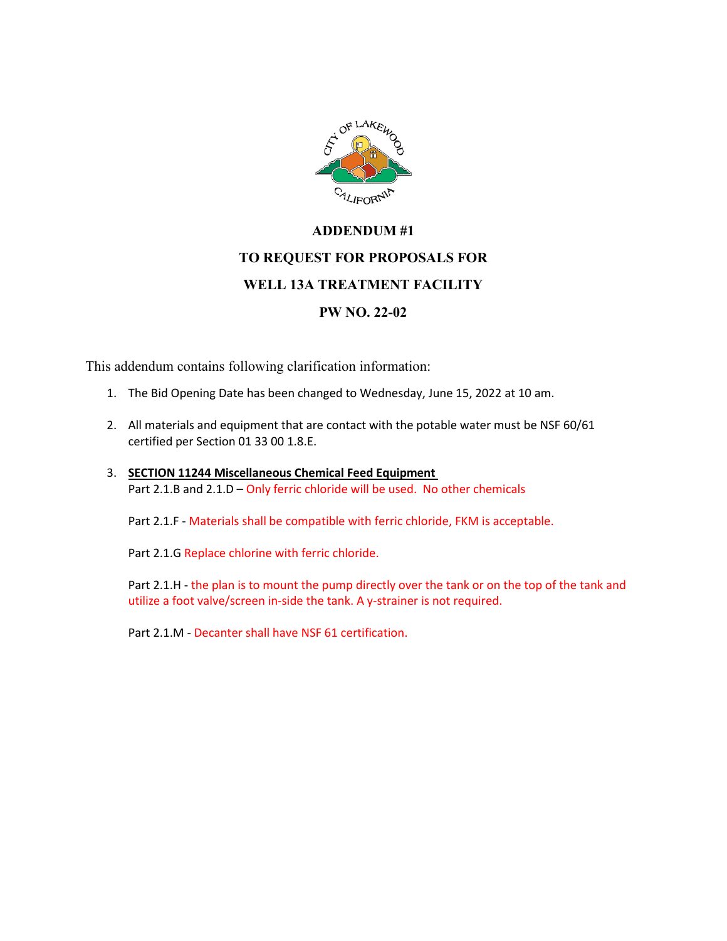

## **ADDENDUM #1 TO REQUEST FOR PROPOSALS FOR WELL 13A TREATMENT FACILITY PW NO. 22-02**

This addendum contains following clarification information:

- 1. The Bid Opening Date has been changed to Wednesday, June 15, 2022 at 10 am.
- 2. All materials and equipment that are contact with the potable water must be NSF 60/61 certified per Section 01 33 00 1.8.E.
- 3. **SECTION 11244 Miscellaneous Chemical Feed Equipment** Part 2.1.B and 2.1.D – Only ferric chloride will be used. No other chemicals

Part 2.1.F - Materials shall be compatible with ferric chloride, FKM is acceptable.

Part 2.1.G Replace chlorine with ferric chloride.

Part 2.1.H - the plan is to mount the pump directly over the tank or on the top of the tank and utilize a foot valve/screen in-side the tank. A y-strainer is not required.

Part 2.1.M - Decanter shall have NSF 61 certification.